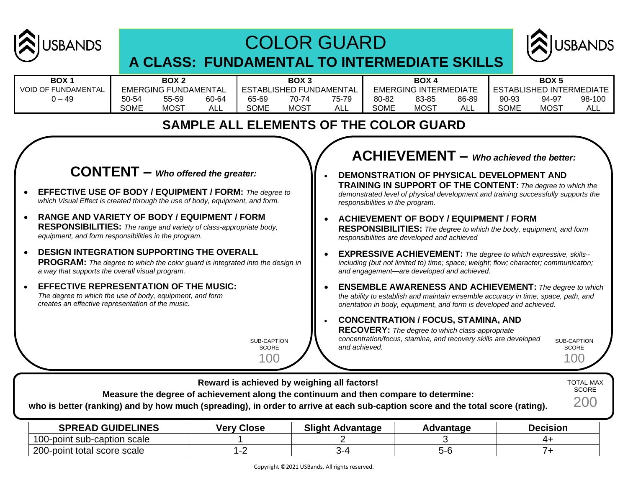

# COLOR GUARD



# **A CLASS: FUNDAMENTAL TO INTERMEDIATE SKILLS**

| BOX 1                      | BOX 2       |                             | BOX <sub>3</sub> |                         |             | BOX 4 |                              |             | BOX <sub>5</sub> |                            |             |        |
|----------------------------|-------------|-----------------------------|------------------|-------------------------|-------------|-------|------------------------------|-------------|------------------|----------------------------|-------------|--------|
| <b>VOID OF FUNDAMENTAL</b> |             | <b>EMERGING FUNDAMENTAL</b> |                  | ESTABLISHED FUNDAMENTAL |             |       | <b>EMERGING INTERMEDIATE</b> |             |                  | I ESTABLISHED INTERMEDIATE |             |        |
| ) – 49                     | 50-54       | 55-59                       | 60-64            | 65-69                   | 70-74       | 75-79 | 80-82                        | 83-85       | 86-89            | 90-93                      | 94-97       | 98-100 |
|                            | <b>SOME</b> | <b>MOST</b>                 | ALL              | SOME                    | <b>MOST</b> | ALL   | <b>SOME</b>                  | <b>MOST</b> | ALL              | SOME                       | <b>MOST</b> | ALL    |

## **SAMPLE ALL ELEMENTS OF THE COLOR GUARD**

# **CONTENT –** *Who offered the greater:*

- **EFFECTIVE USE OF BODY / EQUIPMENT / FORM:** *The degree to which Visual Effect is created through the use of body, equipment, and form.*
- **RANGE AND VARIETY OF BODY / EQUIPMENT / FORM RESPONSIBILITIES:** *The range and variety of class-appropriate body, equipment, and form responsibilities in the program.*
- **DESIGN INTEGRATION SUPPORTING THE OVERALL PROGRAM:** *The degree to which the color guard is integrated into the design in a way that supports the overall visual program.*
- **EFFECTIVE REPRESENTATION OF THE MUSIC:** *The degree to which the use of body, equipment, and form creates an effective representation of the music.*

SUB-CAPTION **SCORE** 

100

# **ACHIEVEMENT –** *Who achieved the better:*

- **DEMONSTRATION OF PHYSICAL DEVELOPMENT AND TRAINING IN SUPPORT OF THE CONTENT:** *The degree to which the demonstrated level of physical development and training successfully supports the responsibilities in the program.*
- **ACHIEVEMENT OF BODY / EQUIPMENT / FORM RESPONSIBILITIES:** *The degree to which the body, equipment, and form responsibilities are developed and achieved*
- **EXPRESSIVE ACHIEVEMENT:** *The degree to which expressive, skills- including (but not limited to) time; space; weight; flow; character; communication; and engagement—are developed and achieved.*
- **ENSEMBLE AWARENESS AND ACHIEVEMENT:** *The degree to which the ability to establish and maintain ensemble accuracy in time, space, path, and orientation in body, equipment, and form is developed and achieved.*

#### • **CONCENTRATION / FOCUS, STAMINA, AND**

**RECOVERY:** *The degree to which class-appropriate concentration/focus, stamina, and recovery skills are developed and achieved.*

SUB-CAPTION **SCORE** 100

**Reward is achieved by weighing all factors! Measure the degree of achievement along the continuum and then compare to determine: who is better (ranking) and by how much (spreading), in order to arrive at each sub-caption score and the total score (rating).** TOTAL MAX **SCORE** 200

| <b>SPREAD GUIDELINES</b>             | <b>Very Close</b> | Slight.<br>. Advantage | dvantage | <b>Decision</b> |
|--------------------------------------|-------------------|------------------------|----------|-----------------|
| $100 -$<br>J-point sub-caption scale |                   |                        |          |                 |
| $200 -$<br>I-point total score scale |                   |                        |          |                 |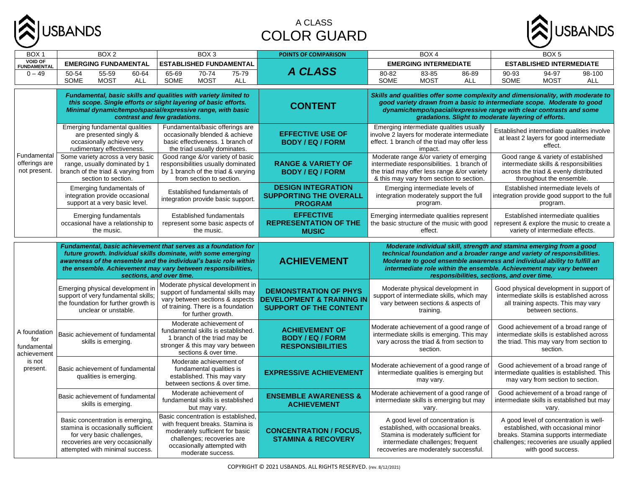

#### A CLASS COLOR GUARD



| BOX <sub>1</sub>                                  | BOX <sub>2</sub><br>BOX <sub>3</sub>                                                                                                                                                                                                                         |                                                                                                                                                                                                                                                                                                 | <b>POINTS OF COMPARISON</b>                                                                           | BOX <sub>4</sub>                                                                                                                                                                                                                                                                                                                                   | BOX <sub>5</sub>                                                                                                                                                                          |  |  |
|---------------------------------------------------|--------------------------------------------------------------------------------------------------------------------------------------------------------------------------------------------------------------------------------------------------------------|-------------------------------------------------------------------------------------------------------------------------------------------------------------------------------------------------------------------------------------------------------------------------------------------------|-------------------------------------------------------------------------------------------------------|----------------------------------------------------------------------------------------------------------------------------------------------------------------------------------------------------------------------------------------------------------------------------------------------------------------------------------------------------|-------------------------------------------------------------------------------------------------------------------------------------------------------------------------------------------|--|--|
| <b>VOID OF</b><br><b>FUNDAMENTAL</b>              | <b>EMERGING FUNDAMENTAL</b>                                                                                                                                                                                                                                  | <b>ESTABLISHED FUNDAMENTAL</b>                                                                                                                                                                                                                                                                  |                                                                                                       | <b>EMERGING INTERMEDIATE</b>                                                                                                                                                                                                                                                                                                                       | <b>ESTABLISHED INTERMEDIATE</b>                                                                                                                                                           |  |  |
| $0 - 49$                                          | 50-54<br>55-59<br>60-64<br>SOME<br><b>MOST</b><br><b>ALL</b>                                                                                                                                                                                                 | $70-74$<br>65-69<br>75-79<br>SOME<br><b>MOST</b><br><b>ALL</b>                                                                                                                                                                                                                                  | <b>A CLASS</b>                                                                                        | 80-82<br>83-85<br>86-89<br>SOME<br><b>MOST</b><br><b>ALL</b>                                                                                                                                                                                                                                                                                       | 90-93<br>94-97<br>98-100<br>SOME<br><b>MOST</b><br><b>ALL</b>                                                                                                                             |  |  |
|                                                   |                                                                                                                                                                                                                                                              | Fundamental, basic skills and qualities with variety limited to<br>this scope. Single efforts or slight layering of basic efforts.<br>Minimal dynamic/tempo/spacial/expressive range, with basic<br>contrast and few gradations.                                                                | <b>CONTENT</b>                                                                                        | Skills and qualities offer some complexity and dimensionality, with moderate to<br>good variety drawn from a basic to intermediate scope. Moderate to good<br>dynamic/tempo/spacial/expressive range with clear contrasts and some<br>gradations. Slight to moderate layering of efforts.                                                          |                                                                                                                                                                                           |  |  |
|                                                   | Emerging fundamental qualities<br>Fundamental/basic offerings are<br>occasionally blended & achieve<br>are presented singly &<br>basic effectiveness. 1 branch of<br>occasionally achieve very<br>rudimentary effectiveness.<br>the triad usually dominates. |                                                                                                                                                                                                                                                                                                 | <b>EFFECTIVE USE OF</b><br><b>BODY / EQ / FORM</b>                                                    | Emerging intermediate qualities usually<br>involve 2 layers for moderate intermediate<br>effect. 1 branch of the triad may offer less<br>impact.                                                                                                                                                                                                   | Established intermediate qualities involve<br>at least 2 layers for good intermediate<br>effect.                                                                                          |  |  |
| Fundamental<br>offerings are<br>not present.      | Some variety across a very basic<br>range, usually dominated by 1<br>branch of the triad & varying from<br>section to section.                                                                                                                               | Good range &/or variety of basic<br>responsibilities usually dominated<br>by 1 branch of the triad & varying<br>from section to section.                                                                                                                                                        | <b>RANGE &amp; VARIETY OF</b><br><b>BODY / EQ / FORM</b>                                              | Moderate range &/or variety of emerging<br>intermediate responsibilities. 1 branch of<br>the triad may offer less range &/or variety<br>& this may vary from section to section.                                                                                                                                                                   | Good range & variety of established<br>intermediate skills & responsibilities<br>across the triad & evenly distributed<br>throughout the ensemble.                                        |  |  |
|                                                   | Emerging fundamentals of<br>integration provide occasional<br>support at a very basic level.                                                                                                                                                                 | Established fundamentals of<br>integration provide basic support.                                                                                                                                                                                                                               | <b>DESIGN INTEGRATION</b><br><b>SUPPORTING THE OVERALL</b><br><b>PROGRAM</b>                          | Emerging intermediate levels of<br>integration moderately support the full<br>program.                                                                                                                                                                                                                                                             | Established intermediate levels of<br>integration provide good support to the full<br>program.                                                                                            |  |  |
|                                                   | <b>Emerging fundamentals</b><br>occasional have a relationship to<br>the music.                                                                                                                                                                              | Established fundamentals<br>represent some basic aspects of<br>the music.                                                                                                                                                                                                                       | <b>EFFECTIVE</b><br><b>REPRESENTATION OF THE</b><br><b>MUSIC</b>                                      | Emerging intermediate qualities represent<br>the basic structure of the music with good<br>effect.                                                                                                                                                                                                                                                 | Established intermediate qualities<br>represent & explore the music to create a<br>variety of intermediate effects.                                                                       |  |  |
|                                                   |                                                                                                                                                                                                                                                              | Fundamental, basic achievement that serves as a foundation for<br>future growth. Individual skills dominate, with some emerging<br>awareness of the ensemble and the individual's basic role within<br>the ensemble. Achievement may vary between responsibilities,<br>sections, and over time. | <b>ACHIEVEMENT</b>                                                                                    | Moderate individual skill, strength and stamina emerging from a good<br>technical foundation and a broader range and variety of responsibilities.<br>Moderate to good ensemble awareness and individual ability to fulfill an<br>intermediate role within the ensemble. Achievement may vary between<br>responsibilities, sections, and over time. |                                                                                                                                                                                           |  |  |
|                                                   | Emerging physical development in<br>support of very fundamental skills;<br>the foundation for further growth is<br>unclear or unstable.                                                                                                                      | Moderate physical development in<br>support of fundamental skills may<br>vary between sections & aspects<br>of training. There is a foundation<br>for further growth.                                                                                                                           | <b>DEMONSTRATION OF PHYS</b><br><b>DEVELOPMENT &amp; TRAINING IN</b><br><b>SUPPORT OF THE CONTENT</b> | Moderate physical development in<br>support of intermediate skills, which may<br>vary between sections & aspects of<br>training.                                                                                                                                                                                                                   | Good physical development in support of<br>intermediate skills is established across<br>all training aspects. This may vary<br>between sections.                                          |  |  |
| A foundation<br>for<br>fundamental<br>achievement | Basic achievement of fundamental<br>skills is emerging.                                                                                                                                                                                                      | Moderate achievement of<br>fundamental skills is established.<br>1 branch of the triad may be<br>stronger & this may vary between<br>sections & over time.                                                                                                                                      | <b>ACHIEVEMENT OF</b><br><b>BODY / EQ / FORM</b><br><b>RESPONSIBILITIES</b>                           | Moderate achievement of a good range of<br>intermediate skills is emerging. This may<br>vary across the triad & from section to<br>section.                                                                                                                                                                                                        | Good achievement of a broad range of<br>intermediate skills is established across<br>the triad. This may vary from section to<br>section.                                                 |  |  |
| is not<br>present.                                | Basic achievement of fundamental<br>qualities is emerging.                                                                                                                                                                                                   | Moderate achievement of<br>fundamental qualities is<br>established. This may vary<br>between sections & over time.                                                                                                                                                                              | <b>EXPRESSIVE ACHIEVEMENT</b>                                                                         | Moderate achievement of a good range of<br>intermediate qualities is emerging but<br>may vary.                                                                                                                                                                                                                                                     | Good achievement of a broad range of<br>intermediate qualities is established. This<br>may vary from section to section.                                                                  |  |  |
|                                                   | Basic achievement of fundamental<br>skills is emerging.                                                                                                                                                                                                      | Moderate achievement of<br>fundamental skills is established<br>but may vary.                                                                                                                                                                                                                   | <b>ENSEMBLE AWARENESS &amp;</b><br><b>ACHIEVEMENT</b>                                                 | Moderate achievement of a good range of<br>intermediate skills is emerging but may<br>vary.                                                                                                                                                                                                                                                        | Good achievement of a broad range of<br>intermediate skills is established but may<br>vary.                                                                                               |  |  |
|                                                   | Basic concentration is emerging,<br>stamina is occasionally sufficient<br>for very basic challenges,<br>recoveries are very occasionally<br>attempted with minimal success.                                                                                  | Basic concentration is established,<br>with frequent breaks. Stamina is<br>moderately sufficient for basic<br>challenges; recoveries are<br>occasionally attempted with<br>moderate success.                                                                                                    | <b>CONCENTRATION / FOCUS,</b><br><b>STAMINA &amp; RECOVERY</b>                                        | A good level of concentration is<br>established, with occasional breaks.<br>Stamina is moderately sufficient for<br>intermediate challenges; frequent<br>recoveries are moderately successful.                                                                                                                                                     | A good level of concentration is well-<br>established, with occasional minor<br>breaks. Stamina supports intermediate<br>challenges; recoveries are usually applied<br>with good success. |  |  |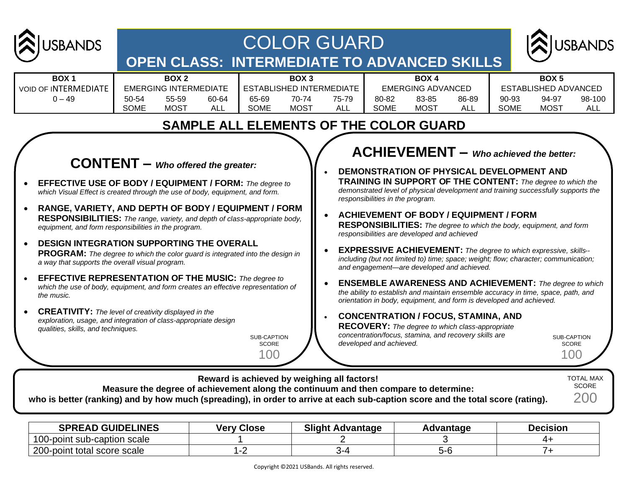

# COLOR GUARD **OPEN CLASS: INTERMEDIATE TO ADVANCED SKILLS**



| <b>BOX1</b>                 | BOX <sub>2</sub>             |       | BOX 3 |                          | <b>BOX 4</b> |       |                          | BOX <sub>5</sub> |       |                             |       |        |
|-----------------------------|------------------------------|-------|-------|--------------------------|--------------|-------|--------------------------|------------------|-------|-----------------------------|-------|--------|
| <b>VOID OF INTERMEDIATE</b> | <b>EMERGING INTERMEDIATE</b> |       |       | ESTABLISHED INTERMEDIATE |              |       | <b>EMERGING ADVANCED</b> |                  |       | <b>ESTABLISHED ADVANCED</b> |       |        |
| ) — 49                      | 50-54                        | 55-59 | 60-64 | 65-69                    | 70-74        | 75-79 | 80-82                    | 83-85            | 86-89 | 90-93                       | 94-97 | 98-100 |
|                             | SOME                         | MOST  | ALL   | SOME                     | <b>MOST</b>  | ALL   | <b>SOME</b>              | MOS <sup>T</sup> | ALL   | SOME                        | MOST  | ALL    |

# **SAMPLE ALL ELEMENTS OF THE COLOR GUARD**

#### **CONTENT –** *Who offered the greater:* • **EFFECTIVE USE OF BODY / EQUIPMENT / FORM:** *The degree to which Visual Effect is created through the use of body, equipment, and form.* • **RANGE, VARIETY, AND DEPTH OF BODY / EQUIPMENT / FORM RESPONSIBILITIES:** *The range, variety, and depth of class-appropriate body, equipment, and form responsibilities in the program.*

- **DESIGN INTEGRATION SUPPORTING THE OVERALL PROGRAM:** *The degree to which the color guard is integrated into the design in a way that supports the overall visual program.*
- **EFFECTIVE REPRESENTATION OF THE MUSIC:** *The degree to which the use of body, equipment, and form creates an effective representation of the music.*
- **CREATIVITY:** *The level of creativity displayed in the exploration, usage, and integration of class-appropriate design qualities, skills, and techniques.*

SUB-CAPTION **SCORE** 

100

# **ACHIEVEMENT –** *Who achieved the better:*

- **DEMONSTRATION OF PHYSICAL DEVELOPMENT AND TRAINING IN SUPPORT OF THE CONTENT:** *The degree to which the demonstrated level of physical development and training successfully supports the responsibilities in the program.*
- **ACHIEVEMENT OF BODY / EQUIPMENT / FORM RESPONSIBILITIES:** *The degree to which the body, equipment, and form responsibilities are developed and achieved*
- **EXPRESSIVE ACHIEVEMENT:** *The degree to which expressive, skills- including (but not limited to) time; space; weight; flow; character; communication; and engagement—are developed and achieved.*
- **ENSEMBLE AWARENESS AND ACHIEVEMENT:** *The degree to which the ability to establish and maintain ensemble accuracy in time, space, path, and orientation in body, equipment, and form is developed and achieved.*
- **CONCENTRATION / FOCUS, STAMINA, AND RECOVERY:** *The degree to which class-appropriate concentration/focus, stamina, and recovery skills are developed and achieved.*

SUB-CAPTION **SCORE** 100

| Reward is achieved by weighing all factors!<br><b>TOTAL MAX</b><br><b>SCORE</b><br>Measure the degree of achievement along the continuum and then compare to determine:<br>200<br>who is better (ranking) and by how much (spreading), in order to arrive at each sub-caption score and the total score (rating). |  |
|-------------------------------------------------------------------------------------------------------------------------------------------------------------------------------------------------------------------------------------------------------------------------------------------------------------------|--|
|-------------------------------------------------------------------------------------------------------------------------------------------------------------------------------------------------------------------------------------------------------------------------------------------------------------------|--|

| <b>SPREAD GUIDELINES</b>    | <b>Verv Close</b> | <b>Slight Advantage</b> | <b>Advantage</b> | <b>Decision</b> |
|-----------------------------|-------------------|-------------------------|------------------|-----------------|
| 100-point sub-caption scale |                   |                         |                  |                 |
| 200-point total score scale |                   | . . <i>.</i>            | יינ              |                 |